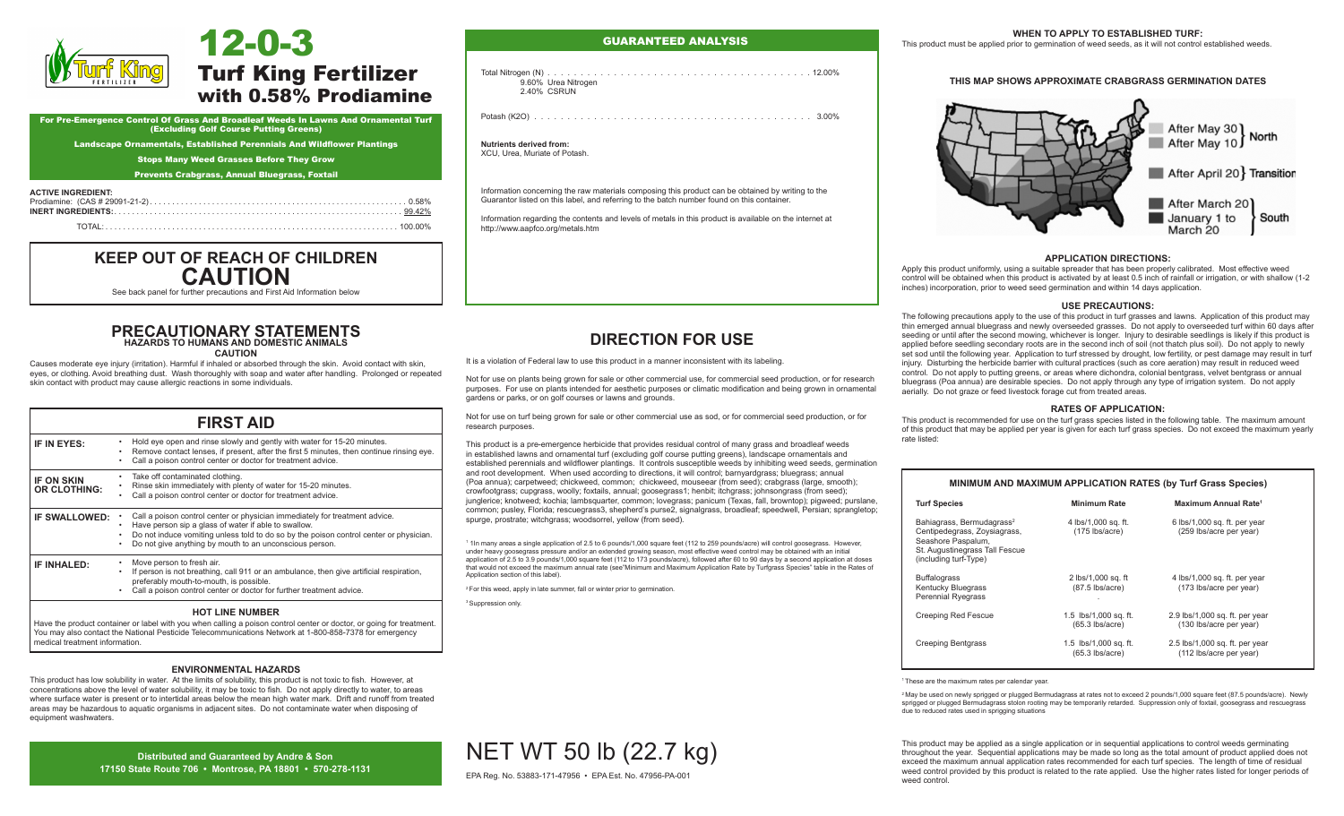

# Turf King Fertilizer with 0.58% Prodiamine

For Pre-Emergence Control Of Grass And Broadleaf Weeds In Lawns And Ornamental Turf (Excluding Golf Course Putting Greens)

Landscape Ornamentals, Established Perennials And Wildflower Plantings

Stops Many Weed Grasses Before They Grow

Prevents Crabgrass, Annual Bluegrass, Foxtail

# **ACTIVE INGREDIENT:**<br>Prodiamine: (CAS # 29

|--|--|

# **KEEP OUT OF REACH OF CHILDREN CAUTION**

See back panel for further precautions and First Aid Information below

# **PRECAUTIONARY STATEMENTS HAZARDS TO HUMANS AND DOMESTIC ANIMALS**

**CAUTION** 

Causes moderate eye injury (irritation). Harmful if inhaled or absorbed through the skin. Avoid contact with skin, eyes, or clothing. Avoid breathing dust. Wash thoroughly with soap and water after handling. Prolonged or repeated skin contact with product may cause allergic reactions in some individuals.

| <b>FIRST AID</b>                         |                                                                                                                                                                                                                                                                                          |  |
|------------------------------------------|------------------------------------------------------------------------------------------------------------------------------------------------------------------------------------------------------------------------------------------------------------------------------------------|--|
| IF IN EYES:                              | Hold eye open and rinse slowly and gently with water for 15-20 minutes.<br>Remove contact lenses, if present, after the first 5 minutes, then continue rinsing eye.<br>Call a poison control center or doctor for treatment advice.                                                      |  |
| <b>IF ON SKIN</b><br><b>OR CLOTHING:</b> | Take off contaminated clothing.<br>Rinse skin immediately with plenty of water for 15-20 minutes.<br>Call a poison control center or doctor for treatment advice.                                                                                                                        |  |
| IF SWALLOWED:                            | Call a poison control center or physician immediately for treatment advice.<br>Have person sip a glass of water if able to swallow.<br>Do not induce vomiting unless told to do so by the poison control center or physician.<br>Do not give anything by mouth to an unconscious person. |  |
| IF INHALED:                              | Move person to fresh air.<br>If person is not breathing, call 911 or an ambulance, then give artificial respiration,<br>preferably mouth-to-mouth, is possible.<br>Call a poison control center or doctor for further treatment advice.                                                  |  |
| <b>HOT LINE NUMBER</b>                   |                                                                                                                                                                                                                                                                                          |  |

Have the product container or label with you when calling a poison control center or doctor, or going for treatment. You may also contact the National Pesticide Telecommunications Network at 1-800-858-7378 for emergency medical treatment information.

## **ENVIRONMENTAL HAZARDS**

This product has low solubility in water. At the limits of solubility, this product is not toxic to fish. However, at concentrations above the level of water solubility, it may be toxic to fish. Do not apply directly to water, to areas where surface water is present or to intertidal areas below the mean high water mark. Drift and runoff from treated areas may be hazardous to aquatic organisms in adjacent sites. Do not contaminate water when disposing of equipment washwaters.

> **Distributed and Guaranteed by Andre & Son 17150 State Route 706 • Montrose, PA 18801 • 570-278-1131**

## GUARANTEED ANALYSIS

Total Nitrogen (N). . 12.00% 9.60% Urea Nitrogen 2.40% CSRUN

Potash (K2O) . . . . . . . . . . . . . . . . . . . . . . . . . . . . . . . . . . . . . . . . . . 3.00%

## **Nutrients derived from:**

XCU, Urea, Muriate of Potash.

Information concerning the raw materials composing this product can be obtained by writing to the Guarantor listed on this label, and referring to the batch number found on this container.

Information regarding the contents and levels of metals in this product is available on the internet at http://www.aapfco.org/metals.htm

# **DIRECTION FOR USE**

It is a violation of Federal law to use this product in a manner inconsistent with its labeling.

Not for use on plants being grown for sale or other commercial use, for commercial seed production, or for research purposes. For use on plants intended for aesthetic purposes or climatic modification and being grown in ornamental gardens or parks, or on golf courses or lawns and grounds.

Not for use on turf being grown for sale or other commercial use as sod, or for commercial seed production, or for research purposes.

This product is a pre-emergence herbicide that provides residual control of many grass and broadleaf weeds in established lawns and ornamental turf (excluding golf course putting greens), landscape ornamentals and established perennials and wildflower plantings. It controls susceptible weeds by inhibiting weed seeds, germination and root development. When used according to directions, it will control; barnyardgrass; bluegrass; annual (Poa annua); carpetweed; chickweed, common; chickweed, mouseear (from seed); crabgrass (large, smooth); crowfootgrass; cupgrass, woolly; foxtails, annual; goosegrass1; henbit; itchgrass; johnsongrass (from seed); junglerice; knotweed; kochia; lambsquarter, common; lovegrass; panicum (Texas, fall, browntop); pigweed; purslane, common; pusley, Florida; rescuegrass3, shepherd's purse2, signalgrass, broadleaf; speedwell, Persian; sprangletop; spurge, prostrate; witchgrass; woodsorrel, yellow (from seed).

1 1In many areas a single application of 2.5 to 6 pounds/1,000 square feet (112 to 259 pounds/acre) will control goosegrass. However, under heavy goosegrass pressure and/or an extended growing season, most effective weed control may be obtained with an initial application of 2.5 to 3.9 pounds/1,000 square feet (112 to 173 pounds/acre), followed after 60 to 90 days by a second application at doses that would not exceed the maximum annual rate (see"Minimum and Maximum Application Rate by Turfgrass Species" table in the Rates of Application section of this label).

<sup>2</sup> For this weed, apply in late summer, fall or winter prior to germination.

NET WT 50 lb (22.7 kg) EPA Reg. No. 53883-171-47956 • EPA Est. No. 47956-PA-001

<sup>3</sup> Suppression only.

#### **WHEN TO APPLY TO ESTABLISHED TURF:**

This product must be applied prior to germination of weed seeds, as it will not control established weeds.

## **THIS MAP SHOWS APPROXIMATE CRABGRASS GERMINATION DATES**



#### **APPLICATION DIRECTIONS:**

Apply this product uniformly, using a suitable spreader that has been properly calibrated. Most effective weed control will be obtained when this product is activated by at least 0.5 inch of rainfall or irrigation, or with shallow (1-2 inches) incorporation, prior to weed seed germination and within 14 days application.

#### **USE PRECAUTIONS:**

The following precautions apply to the use of this product in turf grasses and lawns. Application of this product may thin emerged annual bluegrass and newly overseeded grasses. Do not apply to overseeded turf within 60 days after seeding or until after the second mowing, whichever is longer. Injury to desirable seedlings is likely if this product is applied before seedling secondary roots are in the second inch of soil (not thatch plus soil). Do not apply to newly set sod until the following year. Application to turf stressed by drought, low fertility, or pest damage may result in turf injury. Disturbing the herbicide barrier with cultural practices (such as core aeration) may result in reduced weed control. Do not apply to putting greens, or areas where dichondra, colonial bentgrass, velvet bentgrass or annual bluegrass (Poa annua) are desirable species. Do not apply through any type of irrigation system. Do not apply aerially. Do not graze or feed livestock forage cut from treated areas.

#### **RATES OF APPLICATION:**

This product is recommended for use on the turf grass species listed in the following table. The maximum amount of this product that may be applied per year is given for each turf grass species. Do not exceed the maximum yearly rate listed:

| MINIMUM AND MAXIMUM APPLICATION RATES (by Turf Grass Species)                                                                                          |                                            |                                                           |  |
|--------------------------------------------------------------------------------------------------------------------------------------------------------|--------------------------------------------|-----------------------------------------------------------|--|
| <b>Turf Species</b>                                                                                                                                    | <b>Minimum Rate</b>                        | Maximum Annual Rate <sup>1</sup>                          |  |
| Bahiagrass, Bermudagrass <sup>2</sup><br>Centipedegrass, Zoysiagrass,<br>Seashore Paspalum,<br>St. Augustinegrass Tall Fescue<br>(including turf-Type) | 4 lbs/1,000 sq. ft.<br>$(175$ lbs/acre)    | 6 lbs/1,000 sq. ft. per year<br>(259 lbs/acre per year)   |  |
| <b>Buffalograss</b><br><b>Kentucky Bluegrass</b><br><b>Perennial Ryegrass</b>                                                                          | 2 lbs/1,000 sq. ft<br>$(87.5$ lbs/acre)    | 4 lbs/1,000 sq. ft. per year<br>(173 lbs/acre per year)   |  |
| <b>Creeping Red Fescue</b>                                                                                                                             | 1.5 lbs/1,000 sq. ft.<br>$(65.3$ lbs/acre) | 2.9 lbs/1,000 sq. ft. per year<br>(130 lbs/acre per year) |  |
| Creeping Bentgrass                                                                                                                                     | 1.5 lbs/1,000 sq. ft.<br>$(65.3$ lbs/acre) | 2.5 lbs/1,000 sq. ft. per year<br>(112 lbs/acre per year) |  |

<sup>1</sup> These are the maximum rates per calendar year.

<sup>2</sup> May be used on newly sprigged or plugged Bermudagrass at rates not to exceed 2 pounds/1,000 square feet (87.5 pounds/acre). Newly sprigged or plugged Bermudagrass stolon rooting may be temporarily retarded. Suppression only of foxtail, goosegrass and rescuegrass due to reduced rates used in sprigging situations

This product may be applied as a single application or in sequential applications to control weeds germinating throughout the year. Sequential applications may be made so long as the total amount of product applied does not exceed the maximum annual application rates recommended for each turf species. The length of time of residual weed control provided by this product is related to the rate applied. Use the higher rates listed for longer periods of weed control.